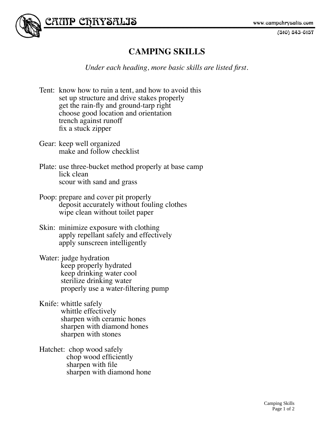$(510)$  843-6157



## **CAMPING SKILLS**

*Under each heading, more basic skills are listed first.*

- Tent: know how to ruin a tent, and how to avoid this set up structure and drive stakes properly get the rain-fly and ground-tarp right choose good location and orientation trench against runoff fix a stuck zipper
- Gear: keep well organized make and follow checklist
- Plate: use three-bucket method properly at base camp lick clean scour with sand and grass
- Poop: prepare and cover pit properly deposit accurately without fouling clothes wipe clean without toilet paper
- Skin: minimize exposure with clothing apply repellant safely and effectively apply sunscreen intelligently
- Water: judge hydration keep properly hydrated keep drinking water cool sterilize drinking water properly use a water-filtering pump
- Knife: whittle safely whittle effectively sharpen with ceramic hones sharpen with diamond hones sharpen with stones
- Hatchet: chop wood safely chop wood efficiently sharpen with file sharpen with diamond hone